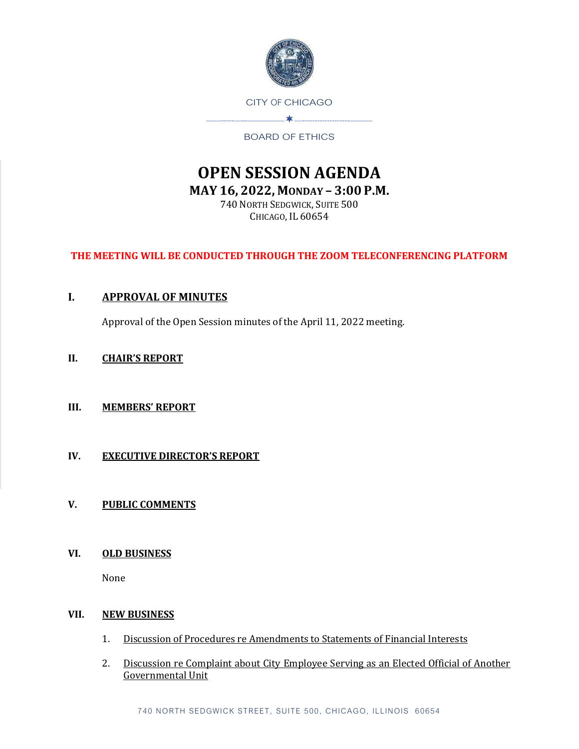

# BOARD OF ETHICS

# **OPEN SESSION AGENDA MAY 16, 2022, MONDAY – 3:00 P.M.**

740 NORTH SEDGWICK, SUITE 500 CHICAGO, IL 60654

# **THE MEETING WILL BE CONDUCTED THROUGH THE ZOOM TELECONFERENCING PLATFORM**

# **I. APPROVAL OF MINUTES**

Approval of the Open Session minutes of the April 11, 2022 meeting.

#### **II. CHAIR'S REPORT**

#### **III. MEMBERS' REPORT**

# **IV. EXECUTIVE DIRECTOR'S REPORT**

# **V. PUBLIC COMMENTS**

# **VI. OLD BUSINESS**

None

# **VII. NEW BUSINESS**

- 1. Discussion of Procedures re Amendments to Statements of Financial Interests
- 2. Discussion re Complaint about City Employee Serving as an Elected Official of Another Governmental Unit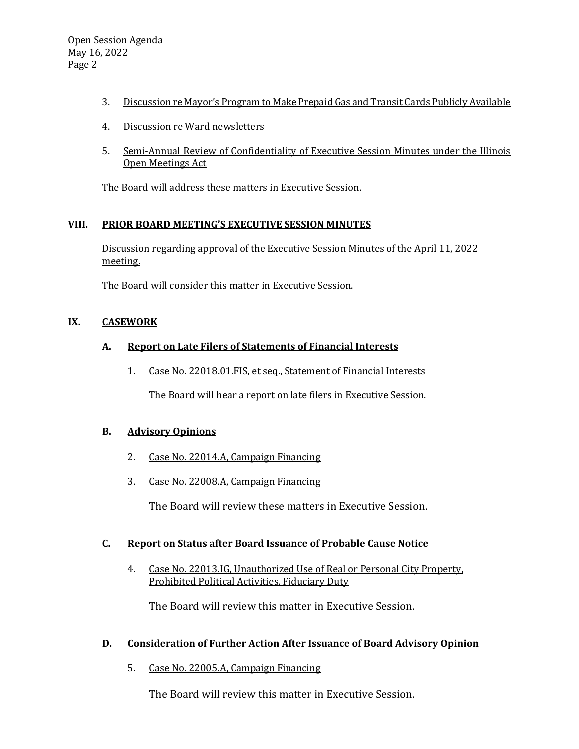- 3. Discussion re Mayor's Program to Make Prepaid Gas and Transit Cards Publicly Available
- 4. Discussion re Ward newsletters
- 5. Semi-Annual Review of Confidentiality of Executive Session Minutes under the Illinois Open Meetings Act

The Board will address these matters in Executive Session.

#### **VIII. PRIOR BOARD MEETING'S EXECUTIVE SESSION MINUTES**

Discussion regarding approval of the Executive Session Minutes of the April 11, 2022 meeting.

The Board will consider this matter in Executive Session.

#### **IX. CASEWORK**

#### **A. Report on Late Filers of Statements of Financial Interests**

1. Case No. 22018.01.FIS, et seq., Statement of Financial Interests

The Board will hear a report on late filers in Executive Session.

# **B. Advisory Opinions**

- 2. Case No. 22014.A, Campaign Financing
- 3. Case No. 22008.A, Campaign Financing

The Board will review these matters in Executive Session.

# **C. Report on Status after Board Issuance of Probable Cause Notice**

4. Case No. 22013.IG, Unauthorized Use of Real or Personal City Property, Prohibited Political Activities, Fiduciary Duty

The Board will review this matter in Executive Session.

# **D. Consideration of Further Action After Issuance of Board Advisory Opinion**

5. Case No. 22005.A, Campaign Financing

The Board will review this matter in Executive Session.